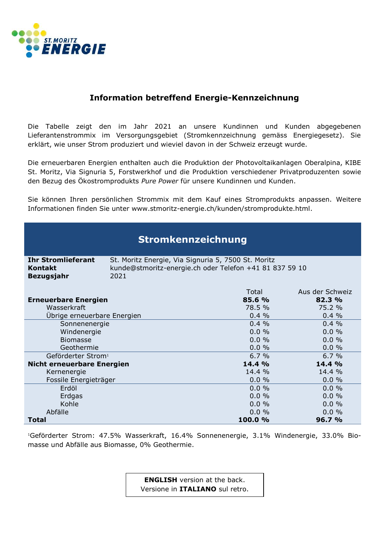

## **Information betreffend Energie-Kennzeichnung**

Die Tabelle zeigt den im Jahr 2021 an unsere Kundinnen und Kunden abgegebenen Lieferantenstrommix im Versorgungsgebiet (Stromkennzeichnung gemäss Energiegesetz). Sie erklärt, wie unser Strom produziert und wieviel davon in der Schweiz erzeugt wurde.

Die erneuerbaren Energien enthalten auch die Produktion der Photovoltaikanlagen Oberalpina, KIBE St. Moritz, Via Signuria 5, Forstwerkhof und die Produktion verschiedener Privatproduzenten sowie den Bezug des Ökostromprodukts *Pure Power* für unsere Kundinnen und Kunden.

Sie können Ihren persönlichen Strommix mit dem Kauf eines Stromprodukts anpassen. Weitere Informationen finden Sie unter www.stmoritz-energie.ch/kunden/stromprodukte.html.

| Stromkennzeichnung                                        |                                                                                                                        |          |                 |  |  |
|-----------------------------------------------------------|------------------------------------------------------------------------------------------------------------------------|----------|-----------------|--|--|
| <b>Ihr Stromlieferant</b><br>Kontakt<br><b>Bezugsjahr</b> | St. Moritz Energie, Via Signuria 5, 7500 St. Moritz<br>kunde@stmoritz-energie.ch oder Telefon +41 81 837 59 10<br>2021 |          |                 |  |  |
|                                                           |                                                                                                                        | Total    | Aus der Schweiz |  |  |
| <b>Erneuerbare Energien</b>                               |                                                                                                                        | 85.6 %   | 82.3%           |  |  |
| Wasserkraft                                               |                                                                                                                        | 78.5 %   | 75.2 %          |  |  |
| Übrige erneuerbare Energien                               |                                                                                                                        | $0.4 \%$ | 0.4%            |  |  |
| Sonnenenergie                                             |                                                                                                                        | $0.4\%$  | $0.4\%$         |  |  |
| Windenergie                                               |                                                                                                                        | $0.0 \%$ | 0.0%            |  |  |
| <b>Biomasse</b>                                           |                                                                                                                        | $0.0 \%$ | 0.0%            |  |  |
| Geothermie                                                |                                                                                                                        | $0.0 \%$ | 0.0%            |  |  |
| Geförderter Strom <sup>1</sup>                            |                                                                                                                        | 6.7%     | 6.7%            |  |  |
| <b>Nicht erneuerbare Energien</b>                         |                                                                                                                        | 14.4 %   | 14.4 %          |  |  |
| Kernenergie                                               |                                                                                                                        | 14.4%    | 14.4 %          |  |  |
| Fossile Energieträger                                     |                                                                                                                        | 0.0 %    | $0.0 \%$        |  |  |
| Erdöl                                                     |                                                                                                                        | 0.0%     | 0.0%            |  |  |
| Erdgas                                                    |                                                                                                                        | 0.0%     | 0.0%            |  |  |
| Kohle                                                     |                                                                                                                        | 0.0%     | 0.0%            |  |  |
| Abfälle                                                   |                                                                                                                        | $0.0 \%$ | 0.0%            |  |  |
| Total                                                     |                                                                                                                        | 100.0 %  | 96.7 %          |  |  |

<sup>1</sup>Geförderter Strom: 47.5% Wasserkraft, 16.4% Sonnenenergie, 3.1% Windenergie, 33.0% Biomasse und Abfälle aus Biomasse, 0% Geothermie.

> **ENGLISH** version at the back. Versione in **ITALIANO** sul retro.